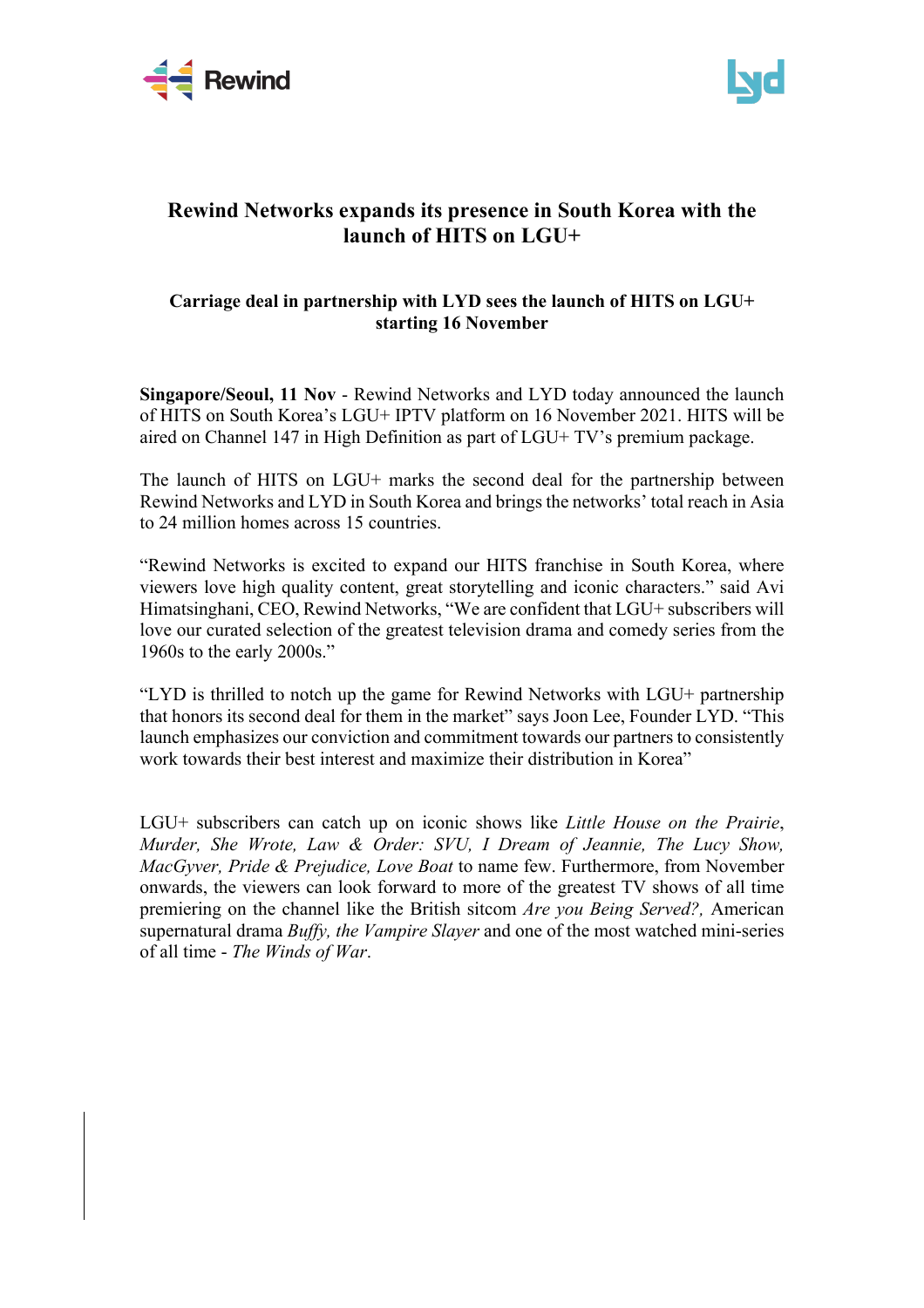



# **Rewind Networks expands its presence in South Korea with the launch of HITS on LGU+**

## **Carriage deal in partnership with LYD sees the launch of HITS on LGU+ starting 16 November**

**Singapore/Seoul, 11 Nov** - Rewind Networks and LYD today announced the launch of HITS on South Korea's LGU+ IPTV platform on 16 November 2021. HITS will be aired on Channel 147 in High Definition as part of LGU+ TV's premium package.

The launch of HITS on LGU+ marks the second deal for the partnership between Rewind Networks and LYD in South Korea and brings the networks' total reach in Asia to 24 million homes across 15 countries.

"Rewind Networks is excited to expand our HITS franchise in South Korea, where viewers love high quality content, great storytelling and iconic characters." said Avi Himatsinghani, CEO, Rewind Networks, "We are confident that LGU+ subscribers will love our curated selection of the greatest television drama and comedy series from the 1960s to the early 2000s."

"LYD is thrilled to notch up the game for Rewind Networks with LGU+ partnership that honors its second deal for them in the market" says Joon Lee, Founder LYD. "This launch emphasizes our conviction and commitment towards our partners to consistently work towards their best interest and maximize their distribution in Korea"

LGU+ subscribers can catch up on iconic shows like *Little House on the Prairie*, *Murder, She Wrote, Law & Order: SVU, I Dream of Jeannie, The Lucy Show, MacGyver, Pride & Prejudice, Love Boat* to name few. Furthermore, from November onwards, the viewers can look forward to more of the greatest TV shows of all time premiering on the channel like the British sitcom *Are you Being Served?,* American supernatural drama *Buffy, the Vampire Slayer* and one of the most watched mini-series of all time - *The Winds of War*.